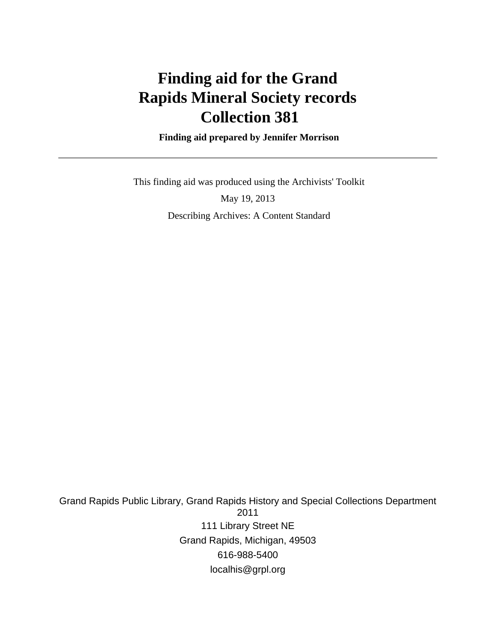# **Finding aid for the Grand Rapids Mineral Society records Collection 381**

 **Finding aid prepared by Jennifer Morrison**

 This finding aid was produced using the Archivists' Toolkit May 19, 2013 Describing Archives: A Content Standard

Grand Rapids Public Library, Grand Rapids History and Special Collections Department 2011 111 Library Street NE Grand Rapids, Michigan, 49503 616-988-5400 localhis@grpl.org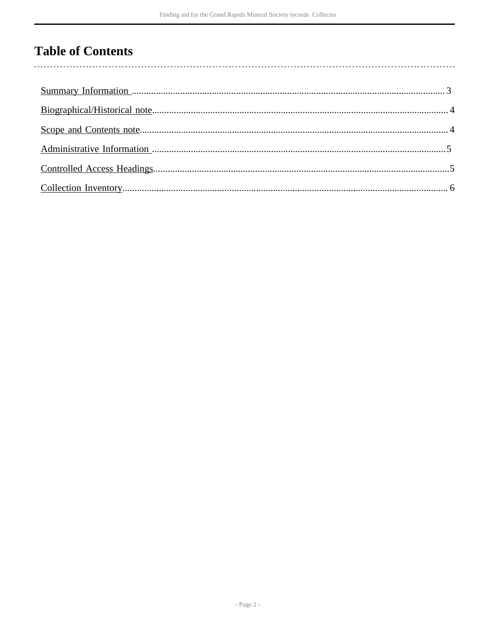# **Table of Contents**

 $\overline{\phantom{a}}$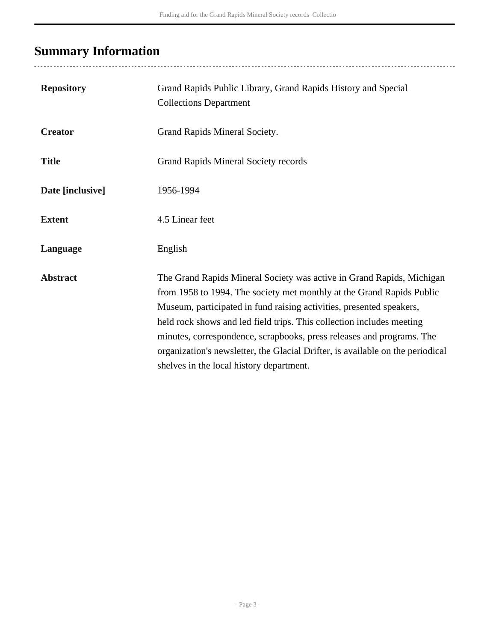# <span id="page-2-0"></span>**Summary Information**

..................................

| <b>Repository</b> | Grand Rapids Public Library, Grand Rapids History and Special<br><b>Collections Department</b>                                                                                                                                                                                                                                                                                                                                                                                                         |
|-------------------|--------------------------------------------------------------------------------------------------------------------------------------------------------------------------------------------------------------------------------------------------------------------------------------------------------------------------------------------------------------------------------------------------------------------------------------------------------------------------------------------------------|
| <b>Creator</b>    | Grand Rapids Mineral Society.                                                                                                                                                                                                                                                                                                                                                                                                                                                                          |
| <b>Title</b>      | <b>Grand Rapids Mineral Society records</b>                                                                                                                                                                                                                                                                                                                                                                                                                                                            |
| Date [inclusive]  | 1956-1994                                                                                                                                                                                                                                                                                                                                                                                                                                                                                              |
| <b>Extent</b>     | 4.5 Linear feet                                                                                                                                                                                                                                                                                                                                                                                                                                                                                        |
| Language          | English                                                                                                                                                                                                                                                                                                                                                                                                                                                                                                |
| <b>Abstract</b>   | The Grand Rapids Mineral Society was active in Grand Rapids, Michigan<br>from 1958 to 1994. The society met monthly at the Grand Rapids Public<br>Museum, participated in fund raising activities, presented speakers,<br>held rock shows and led field trips. This collection includes meeting<br>minutes, correspondence, scrapbooks, press releases and programs. The<br>organization's newsletter, the Glacial Drifter, is available on the periodical<br>shelves in the local history department. |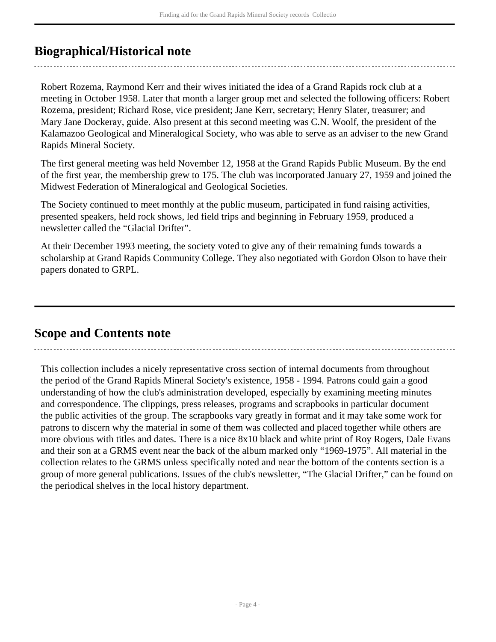## <span id="page-3-0"></span>**Biographical/Historical note**

Robert Rozema, Raymond Kerr and their wives initiated the idea of a Grand Rapids rock club at a meeting in October 1958. Later that month a larger group met and selected the following officers: Robert Rozema, president; Richard Rose, vice president; Jane Kerr, secretary; Henry Slater, treasurer; and Mary Jane Dockeray, guide. Also present at this second meeting was C.N. Woolf, the president of the Kalamazoo Geological and Mineralogical Society, who was able to serve as an adviser to the new Grand Rapids Mineral Society.

The first general meeting was held November 12, 1958 at the Grand Rapids Public Museum. By the end of the first year, the membership grew to 175. The club was incorporated January 27, 1959 and joined the Midwest Federation of Mineralogical and Geological Societies.

The Society continued to meet monthly at the public museum, participated in fund raising activities, presented speakers, held rock shows, led field trips and beginning in February 1959, produced a newsletter called the "Glacial Drifter".

At their December 1993 meeting, the society voted to give any of their remaining funds towards a scholarship at Grand Rapids Community College. They also negotiated with Gordon Olson to have their papers donated to GRPL.

### <span id="page-3-1"></span>**Scope and Contents note**

This collection includes a nicely representative cross section of internal documents from throughout the period of the Grand Rapids Mineral Society's existence, 1958 - 1994. Patrons could gain a good understanding of how the club's administration developed, especially by examining meeting minutes and correspondence. The clippings, press releases, programs and scrapbooks in particular document the public activities of the group. The scrapbooks vary greatly in format and it may take some work for patrons to discern why the material in some of them was collected and placed together while others are more obvious with titles and dates. There is a nice 8x10 black and white print of Roy Rogers, Dale Evans and their son at a GRMS event near the back of the album marked only "1969-1975". All material in the collection relates to the GRMS unless specifically noted and near the bottom of the contents section is a group of more general publications. Issues of the club's newsletter, "The Glacial Drifter," can be found on the periodical shelves in the local history department.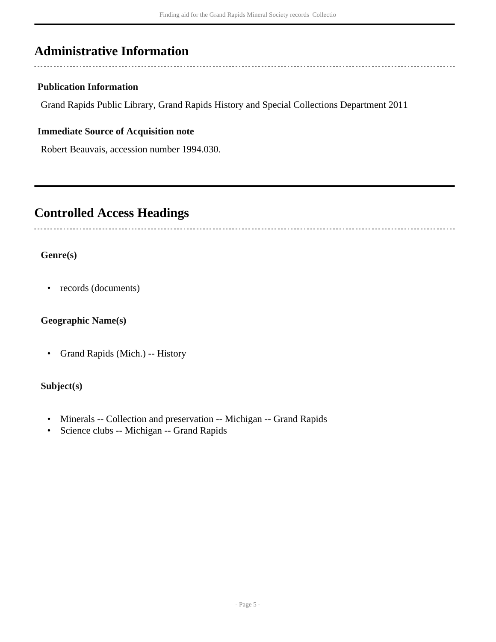## <span id="page-4-0"></span>**Administrative Information**

#### **Publication Information**

Grand Rapids Public Library, Grand Rapids History and Special Collections Department 2011

#### **Immediate Source of Acquisition note**

Robert Beauvais, accession number 1994.030.

### <span id="page-4-1"></span>**Controlled Access Headings**

#### **Genre(s)**

• records (documents)

#### **Geographic Name(s)**

• Grand Rapids (Mich.) -- History

#### **Subject(s)**

- Minerals -- Collection and preservation -- Michigan -- Grand Rapids
- Science clubs -- Michigan -- Grand Rapids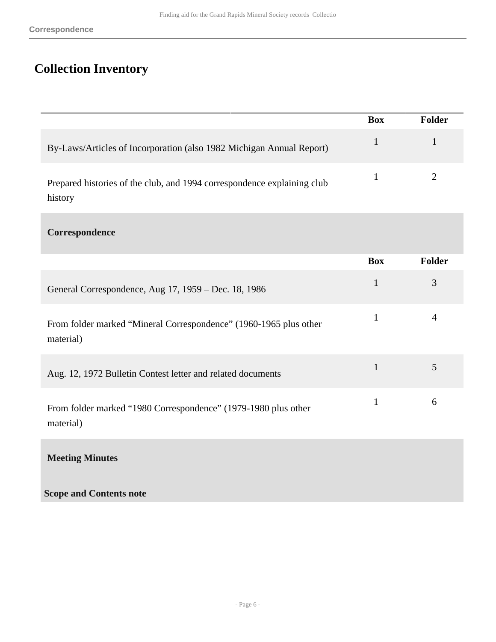## <span id="page-5-0"></span>**Collection Inventory**

|                                                                                    | <b>Box</b> | Folder |
|------------------------------------------------------------------------------------|------------|--------|
| By-Laws/Articles of Incorporation (also 1982 Michigan Annual Report)               |            |        |
| Prepared histories of the club, and 1994 correspondence explaining club<br>history |            |        |

#### **Correspondence**

|                                                                                | <b>Box</b> | <b>Folder</b> |
|--------------------------------------------------------------------------------|------------|---------------|
| General Correspondence, Aug 17, 1959 – Dec. 18, 1986                           | 1          | 3             |
| From folder marked "Mineral Correspondence" (1960-1965 plus other<br>material) |            |               |
| Aug. 12, 1972 Bulletin Contest letter and related documents                    |            | 5             |
| From folder marked "1980 Correspondence" (1979-1980 plus other<br>material)    | 1          | 6             |

**Meeting Minutes** 

**Scope and Contents note**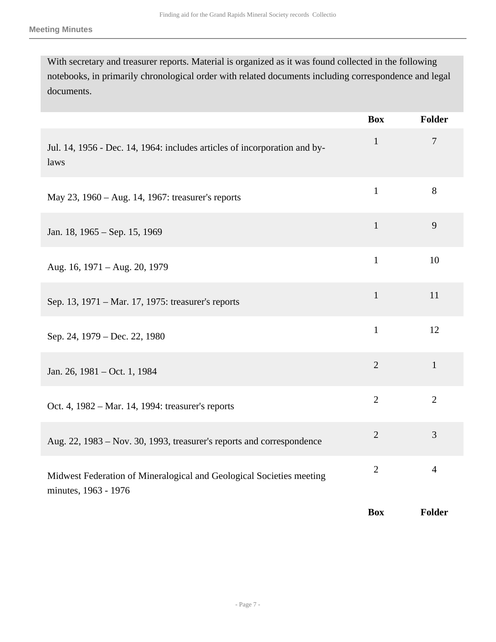With secretary and treasurer reports. Material is organized as it was found collected in the following notebooks, in primarily chronological order with related documents including correspondence and legal documents.

|                                                                                              | <b>Box</b>     | Folder         |
|----------------------------------------------------------------------------------------------|----------------|----------------|
| Jul. 14, 1956 - Dec. 14, 1964: includes articles of incorporation and by-<br>laws            | $\mathbf{1}$   | $\overline{7}$ |
| May 23, 1960 – Aug. 14, 1967: treasurer's reports                                            | $\mathbf{1}$   | 8              |
| Jan. 18, 1965 – Sep. 15, 1969                                                                | $\mathbf{1}$   | 9              |
| Aug. 16, 1971 - Aug. 20, 1979                                                                | $\mathbf{1}$   | 10             |
| Sep. 13, 1971 – Mar. 17, 1975: treasurer's reports                                           | $\mathbf{1}$   | 11             |
| Sep. 24, 1979 – Dec. 22, 1980                                                                | $\mathbf{1}$   | 12             |
| Jan. 26, 1981 – Oct. 1, 1984                                                                 | $\overline{2}$ | $\mathbf{1}$   |
| Oct. 4, 1982 – Mar. 14, 1994: treasurer's reports                                            | $\overline{2}$ | $\overline{2}$ |
| Aug. 22, 1983 – Nov. 30, 1993, treasurer's reports and correspondence                        | $\overline{2}$ | 3              |
| Midwest Federation of Mineralogical and Geological Societies meeting<br>minutes, 1963 - 1976 | $\overline{2}$ | $\overline{4}$ |
|                                                                                              | <b>Box</b>     | Folder         |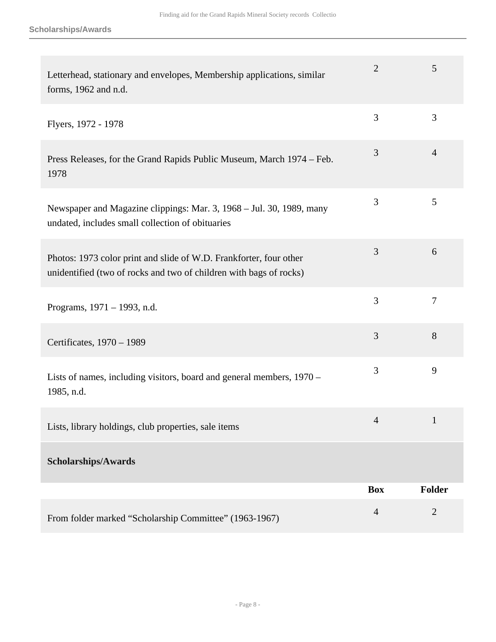| Letterhead, stationary and envelopes, Membership applications, similar<br>forms, 1962 and n.d.                                           | 2              | 5              |
|------------------------------------------------------------------------------------------------------------------------------------------|----------------|----------------|
| Flyers, 1972 - 1978                                                                                                                      | 3              | 3              |
| Press Releases, for the Grand Rapids Public Museum, March 1974 – Feb.<br>1978                                                            | 3              | $\overline{4}$ |
| Newspaper and Magazine clippings: Mar. 3, 1968 – Jul. 30, 1989, many<br>undated, includes small collection of obituaries                 | 3              | 5              |
| Photos: 1973 color print and slide of W.D. Frankforter, four other<br>unidentified (two of rocks and two of children with bags of rocks) | 3              | 6              |
| Programs, 1971 – 1993, n.d.                                                                                                              | 3              | 7              |
| Certificates, 1970 - 1989                                                                                                                | 3              | 8              |
| Lists of names, including visitors, board and general members, 1970 -<br>1985, n.d.                                                      | 3              | 9              |
| Lists, library holdings, club properties, sale items                                                                                     | $\overline{4}$ | $\mathbf{1}$   |
| Scholarships/Awards                                                                                                                      |                |                |
|                                                                                                                                          | <b>Box</b>     | <b>Folder</b>  |
| From folder marked "Scholarship Committee" (1963-1967)                                                                                   | $\overline{4}$ | $\mathbf{2}$   |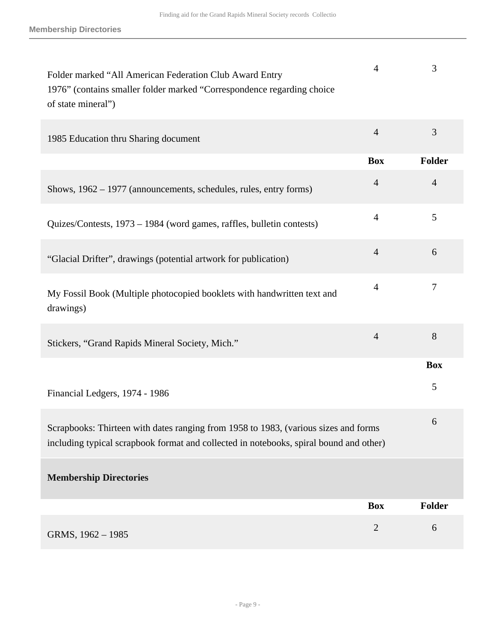| Folder marked "All American Federation Club Award Entry<br>1976" (contains smaller folder marked "Correspondence regarding choice<br>of state mineral")                       | $\overline{4}$ | 3              |
|-------------------------------------------------------------------------------------------------------------------------------------------------------------------------------|----------------|----------------|
| 1985 Education thru Sharing document                                                                                                                                          | $\overline{4}$ | 3              |
|                                                                                                                                                                               | <b>Box</b>     | Folder         |
| Shows, 1962 – 1977 (announcements, schedules, rules, entry forms)                                                                                                             | $\overline{4}$ | $\overline{4}$ |
| Quizes/Contests, 1973 - 1984 (word games, raffles, bulletin contests)                                                                                                         | $\overline{4}$ | 5              |
| "Glacial Drifter", drawings (potential artwork for publication)                                                                                                               | $\overline{4}$ | 6              |
| My Fossil Book (Multiple photocopied booklets with handwritten text and<br>drawings)                                                                                          | $\overline{4}$ | $\overline{7}$ |
| Stickers, "Grand Rapids Mineral Society, Mich."                                                                                                                               | $\overline{4}$ | 8              |
|                                                                                                                                                                               |                | <b>Box</b>     |
| Financial Ledgers, 1974 - 1986                                                                                                                                                |                | 5              |
| Scrapbooks: Thirteen with dates ranging from 1958 to 1983, (various sizes and forms<br>including typical scrapbook format and collected in notebooks, spiral bound and other) |                | 6              |
| <b>Membership Directories</b>                                                                                                                                                 |                |                |
|                                                                                                                                                                               | <b>Box</b>     | <b>Folder</b>  |
| GRMS, 1962 - 1985                                                                                                                                                             | $\mathbf{2}$   | 6              |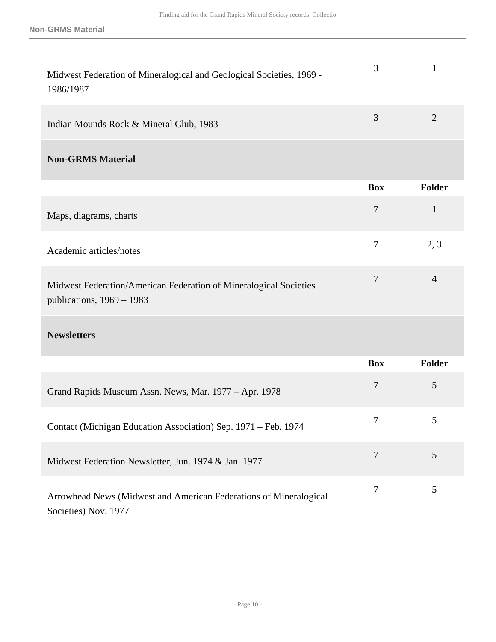| Midwest Federation of Mineralogical and Geological Societies, 1969 -<br>1986/1987                | 3                | 1              |
|--------------------------------------------------------------------------------------------------|------------------|----------------|
| Indian Mounds Rock & Mineral Club, 1983                                                          | $\overline{3}$   | $\overline{2}$ |
| <b>Non-GRMS Material</b>                                                                         |                  |                |
|                                                                                                  | <b>Box</b>       | <b>Folder</b>  |
| Maps, diagrams, charts                                                                           | $\overline{7}$   | $\mathbf{1}$   |
| Academic articles/notes                                                                          | $\overline{7}$   | 2, 3           |
| Midwest Federation/American Federation of Mineralogical Societies<br>publications, $1969 - 1983$ | 7                | $\overline{4}$ |
| <b>Newsletters</b>                                                                               |                  |                |
|                                                                                                  | <b>Box</b>       | <b>Folder</b>  |
| Grand Rapids Museum Assn. News, Mar. 1977 - Apr. 1978                                            | $\overline{7}$   | 5              |
| Contact (Michigan Education Association) Sep. 1971 - Feb. 1974                                   |                  | $\mathcal{L}$  |
| Midwest Federation Newsletter, Jun. 1974 & Jan. 1977                                             | $\boldsymbol{7}$ | 5              |
| Arrowhead News (Midwest and American Federations of Mineralogical<br>Societies) Nov. 1977        | $\boldsymbol{7}$ | 5              |